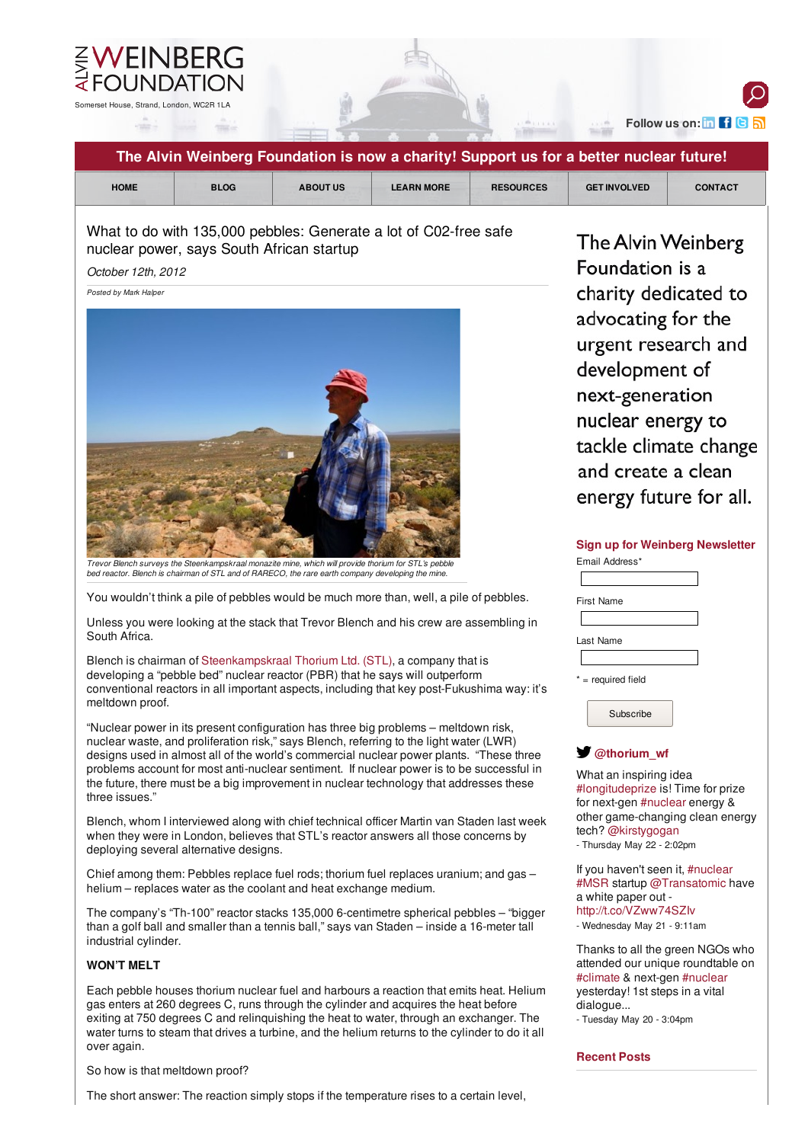

# **Follow us on:**

 $\Omega$ 

| The Alvin Weinberg Foundation is now a charity! Support us for a better nuclear future!                                                                                                                                                                                                                                                                                                                                                                                                                                                                                                                                   |                                                                                                                                                                                                                                                                                         |  |
|---------------------------------------------------------------------------------------------------------------------------------------------------------------------------------------------------------------------------------------------------------------------------------------------------------------------------------------------------------------------------------------------------------------------------------------------------------------------------------------------------------------------------------------------------------------------------------------------------------------------------|-----------------------------------------------------------------------------------------------------------------------------------------------------------------------------------------------------------------------------------------------------------------------------------------|--|
| <b>HOME</b><br><b>BLOG</b><br><b>LEARN MORE</b><br><b>ABOUT US</b><br><b>RESOURCES</b>                                                                                                                                                                                                                                                                                                                                                                                                                                                                                                                                    | <b>GET INVOLVED</b><br><b>CONTACT</b>                                                                                                                                                                                                                                                   |  |
| What to do with 135,000 pebbles: Generate a lot of C02-free safe<br>nuclear power, says South African startup<br>October 12th, 2012<br>Posted by Mark Halper                                                                                                                                                                                                                                                                                                                                                                                                                                                              | The Alvin Weinberg<br>Foundation is a<br>charity dedicated to<br>advocating for the<br>urgent research and<br>development of<br>next-generation<br>nuclear energy to<br>tackle climate change<br>and create a clean<br>energy future for all.<br><b>Sign up for Weinberg Newsletter</b> |  |
| Trevor Blench surveys the Steenkampskraal monazite mine, which will provide thorium for STL's pebble<br>bed reactor. Blench is chairman of STL and of RARECO, the rare earth company developing the mine.                                                                                                                                                                                                                                                                                                                                                                                                                 | Email Address*                                                                                                                                                                                                                                                                          |  |
| You wouldn't think a pile of pebbles would be much more than, well, a pile of pebbles.                                                                                                                                                                                                                                                                                                                                                                                                                                                                                                                                    | <b>First Name</b>                                                                                                                                                                                                                                                                       |  |
| Unless you were looking at the stack that Trevor Blench and his crew are assembling in<br>South Africa.<br>Blench is chairman of Steenkampskraal Thorium Ltd. (STL), a company that is<br>developing a "pebble bed" nuclear reactor (PBR) that he says will outperform<br>conventional reactors in all important aspects, including that key post-Fukushima way: it's<br>meltdown proof.<br>"Nuclear power in its present configuration has three big problems - meltdown risk,                                                                                                                                           | Last Name<br>* = required field<br>Subscribe                                                                                                                                                                                                                                            |  |
| nuclear waste, and proliferation risk," says Blench, referring to the light water (LWR)<br>designs used in almost all of the world's commercial nuclear power plants. "These three<br>problems account for most anti-nuclear sentiment. If nuclear power is to be successful in<br>the future, there must be a big improvement in nuclear technology that addresses these<br>three issues."<br>Blench, whom I interviewed along with chief technical officer Martin van Staden last week<br>when they were in London, believes that STL's reactor answers all those concerns by<br>deploying several alternative designs. | $\blacktriangleright$ @thorium wf<br>What an inspiring idea<br>#longitudeprize is! Time for prize<br>for next-gen #nuclear energy &<br>other game-changing clean energy<br>tech? @kirstygogan<br>- Thursday May 22 - 2:02pm                                                             |  |
| Chief among them: Pebbles replace fuel rods; thorium fuel replaces uranium; and gas -<br>helium – replaces water as the coolant and heat exchange medium.                                                                                                                                                                                                                                                                                                                                                                                                                                                                 | If you haven't seen it, #nuclear<br>#MSR startup @Transatomic have<br>a white paper out -<br>http://t.co/VZww74SZlv<br>- Wednesday May 21 - 9:11am                                                                                                                                      |  |
| The company's "Th-100" reactor stacks 135,000 6-centimetre spherical pebbles – "bigger<br>than a golf ball and smaller than a tennis ball," says van Staden - inside a 16-meter tall<br>industrial cylinder.                                                                                                                                                                                                                                                                                                                                                                                                              |                                                                                                                                                                                                                                                                                         |  |
| <b>WON'T MELT</b>                                                                                                                                                                                                                                                                                                                                                                                                                                                                                                                                                                                                         | Thanks to all the green NGOs who<br>attended our unique roundtable on<br>#climate & next-gen #nuclear<br>yesterday! 1st steps in a vital<br>dialogue<br>- Tuesday May 20 - 3:04pm                                                                                                       |  |
| Each pebble houses thorium nuclear fuel and harbours a reaction that emits heat. Helium<br>gas enters at 260 degrees C, runs through the cylinder and acquires the heat before<br>exiting at 750 degrees C and relinquishing the heat to water, through an exchanger. The<br>water turns to steam that drives a turbine, and the helium returns to the cylinder to do it all<br>over again.                                                                                                                                                                                                                               |                                                                                                                                                                                                                                                                                         |  |
| So how is that meltdown proof?                                                                                                                                                                                                                                                                                                                                                                                                                                                                                                                                                                                            | <b>Recent Posts</b>                                                                                                                                                                                                                                                                     |  |
| The short answer: The reaction simply stops if the temperature rises to a certain level,                                                                                                                                                                                                                                                                                                                                                                                                                                                                                                                                  |                                                                                                                                                                                                                                                                                         |  |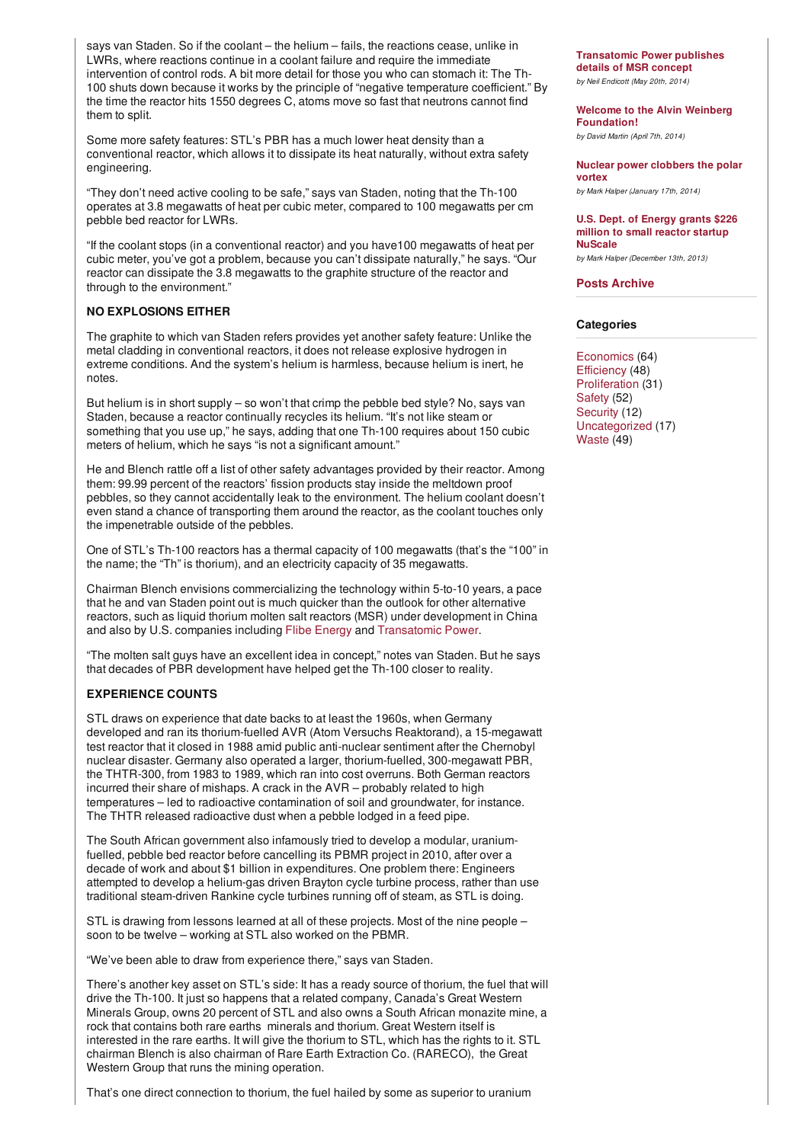<span id="page-1-0"></span>says van Staden. So if the coolant – the helium – fails, the reactions cease, unlike in LWRs, where reactions continue in a coolant failure and require the immediate intervention of control rods. A bit more detail for those you who can stomach it: The Th-100 shuts down because it works by the principle of "negative temperature coefficient." By the time the reactor hits 1550 degrees C, atoms move so fast that neutrons cannot find them to split.

Some more safety features: STL's PBR has a much lower heat density than a conventional reactor, which allows it to dissipate its heat naturally, without extra safety engineering.

"They don't need active cooling to be safe," says van Staden, noting that the Th-100 operates at 3.8 megawatts of heat per cubic meter, compared to 100 megawatts per cm pebble bed reactor for LWRs.

"If the coolant stops (in a conventional reactor) and you have100 megawatts of heat per cubic meter, you've got a problem, because you can't dissipate naturally," he says. "Our reactor can dissipate the 3.8 megawatts to the graphite structure of the reactor and through to the environment."

## **NO EXPLOSIONS EITHER**

The graphite to which van Staden refers provides yet another safety feature: Unlike the metal cladding in conventional reactors, it does not release explosive hydrogen in extreme conditions. And the system's helium is harmless, because helium is inert, he notes.

But helium is in short supply – so won't that crimp the pebble bed style? No, says van Staden, because a reactor continually recycles its helium. "It's not like steam or something that you use up," he says, adding that one Th-100 requires about 150 cubic meters of helium, which he says "is not a significant amount."

He and Blench rattle off a list of other safety advantages provided by their reactor. Among them: 99.99 percent of the reactors' fission products stay inside the meltdown proof pebbles, so they cannot accidentally leak to the environment. The helium coolant doesn't even stand a chance of transporting them around the reactor, as the coolant touches only the impenetrable outside of the pebbles.

One of STL's Th-100 reactors has a thermal capacity of 100 megawatts (that's the "100" in the name; the "Th" is thorium), and an electricity capacity of 35 megawatts.

Chairman Blench envisions commercializing the technology within 5-to-10 years, a pace that he and van Staden point out is much quicker than the outlook for other alternative reactors, such as liquid thorium molten salt reactors (MSR) under development in China and also by U.S. companies including Flibe [Energy](http://flibe-energy.com/) and [Transatomic](http://www.the-weinberg-foundation.org/2012/09/28/meet-transatomic-power-developing-an-alternative-reactor-with-silicon-valley-flair/) Power.

"The molten salt guys have an excellent idea in concept," notes van Staden. But he says that decades of PBR development have helped get the Th-100 closer to reality.

#### **EXPERIENCE COUNTS**

STL draws on experience that date backs to at least the 1960s, when Germany developed and ran its thorium-fuelled AVR (Atom Versuchs Reaktorand), a 15-megawatt test reactor that it closed in 1988 amid public anti-nuclear sentiment after the Chernobyl nuclear disaster. Germany also operated a larger, thorium-fuelled, 300-megawatt PBR, the THTR-300, from 1983 to 1989, which ran into cost overruns. Both German reactors incurred their share of mishaps. A crack in the AVR – probably related to high temperatures – led to radioactive contamination of soil and groundwater, for instance. The THTR released radioactive dust when a pebble lodged in a feed pipe.

The South African government also infamously tried to develop a modular, uraniumfuelled, pebble bed reactor before cancelling its PBMR project in 2010, after over a decade of work and about \$1 billion in expenditures. One problem there: Engineers attempted to develop a helium-gas driven Brayton cycle turbine process, rather than use traditional steam-driven Rankine cycle turbines running off of steam, as STL is doing.

STL is drawing from lessons learned at all of these projects. Most of the nine people – soon to be twelve – working at STL also worked on the PBMR.

"We've been able to draw from experience there," says van Staden.

There's another key asset on STL's side: It has a ready source of thorium, the fuel that will drive the Th-100. It just so happens that a related company, Canada's Great Western Minerals Group, owns 20 percent of STL and also owns a South African monazite mine, a rock that contains both rare earths minerals and thorium. Great Western itself is interested in the rare earths. It will give the thorium to STL, which has the rights to it. STL chairman Blench is also chairman of Rare Earth Extraction Co. (RARECO), the Great Western Group that runs the mining operation.

That's one direct connection to thorium, the fuel hailed by some as superior to uranium

**[Transatomic](http://www.the-weinberg-foundation.org/2014/05/20/transatomic-power-publishes-details-of-msr-concept/) Power publishes details of MSR concept** *by Neil Endicott (May 20th, 2014)*

**Welcome to the Alvin Weinberg [Foundation!](http://www.the-weinberg-foundation.org/2014/04/07/welcome-to-the-alvin-weinberg-foundation/)**

*by David Martin (April 7th, 2014)*

**Nuclear power [clobbers](http://www.the-weinberg-foundation.org/2014/01/17/nuclear-power-clobbers-the-polar-vortex/) the polar vortex** *by Mark Halper (January 17th, 2014)*

**U.S. Dept. of Energy grants \$226 million to small reactor startup [NuScale](http://www.the-weinberg-foundation.org/2013/12/13/u-s-dept-of-energy-grants-226-million-to-small-reactor-startup-nuscale/)**

*by Mark Halper (December 13th, 2013)*

**Posts [Archive](http://www.the-weinberg-foundation.org/resources/archive)**

### **Categories**

[Economics](http://www.the-weinberg-foundation.org/category/economics/) (64) [Efficiency](http://www.the-weinberg-foundation.org/category/efficiency/) (48) [Proliferation](http://www.the-weinberg-foundation.org/category/proliferation/) (31) [Safety](http://www.the-weinberg-foundation.org/category/safety/) (52) [Security](http://www.the-weinberg-foundation.org/category/security/) (12) [Uncategorized](http://www.the-weinberg-foundation.org/category/uncategorized/) (17) [Waste](http://www.the-weinberg-foundation.org/category/waste/) (49)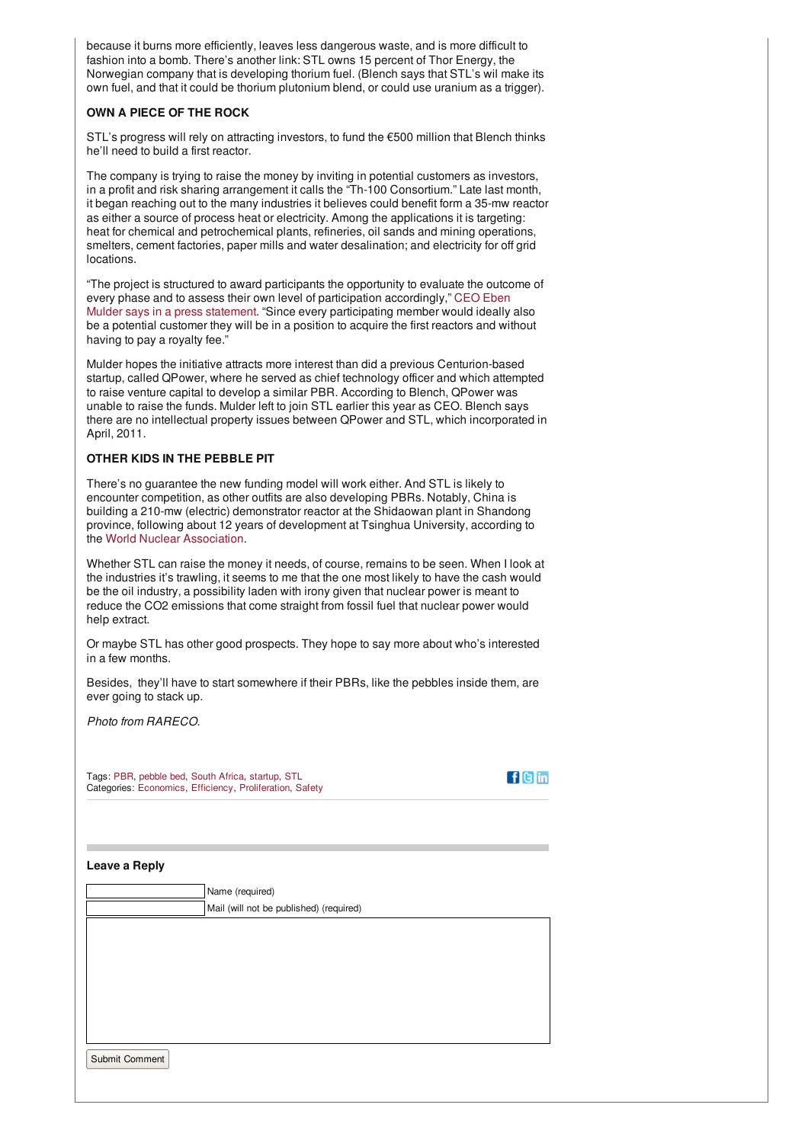because it burns more efficiently, leaves less dangerous waste, and is more difficult to fashion into a bomb. There's another link: STL owns 15 percent of Thor Energy, the Norwegian company that is developing thorium fuel. (Blench says that STL's wil make its own fuel, and that it could be thorium plutonium blend, or could use uranium as a trigger).

### **OWN A PIECE OF THE ROCK**

STL's progress will rely on attracting investors, to fund the €500 million that Blench thinks he'll need to build a first reactor.

The company is trying to raise the money by inviting in potential customers as investors, in a profit and risk sharing arrangement it calls the "Th-100 Consortium." Late last month, it began reaching out to the many industries it believes could benefit form a 35-mw reactor as either a source of process heat or electricity. Among the applications it is targeting: heat for chemical and petrochemical plants, refineries, oil sands and mining operations, smelters, cement factories, paper mills and water desalination; and electricity for off grid locations.

"The project is structured to award participants the opportunity to evaluate the outcome of every phase and to assess their own level of participation [accordingly,"](http://www.irwanda.rw/news/africa/item/14709-steenkampskraal-thorium-limited-seeks-funding-for-thorium-plant-project.html) CEO Eben Mulder says in a press statement. "Since every participating member would ideally also be a potential customer they will be in a position to acquire the first reactors and without having to pay a royalty fee."

Mulder hopes the initiative attracts more interest than did a previous Centurion-based startup, called QPower, where he served as chief technology officer and which attempted to raise venture capital to develop a similar PBR. According to Blench, QPower was unable to raise the funds. Mulder left to join STL earlier this year as CEO. Blench says there are no intellectual property issues between QPower and STL, which incorporated in April, 2011.

### **OTHER KIDS IN THE PEBBLE PIT**

There's no guarantee the new funding model will work either. And STL is likely to encounter competition, as other outfits are also developing PBRs. Notably, China is building a 210-mw (electric) demonstrator reactor at the Shidaowan plant in Shandong province, following about 12 years of development at Tsinghua University, according to the World Nuclear [Association](http://www.world-nuclear.org/info/inf63b_china_nuclearfuelcycle.html).

Whether STL can raise the money it needs, of course, remains to be seen. When I look at the industries it's trawling, it seems to me that the one most likely to have the cash would be the oil industry, a possibility laden with irony given that nuclear power is meant to reduce the CO2 emissions that come straight from fossil fuel that nuclear power would help extract.

Or maybe STL has other good prospects. They hope to say more about who's interested in a few months.

Besides, they'll have to start somewhere if their PBRs, like the pebbles inside them, are ever going to stack up.

*Photo from RARECO.*

Tags: [PBR](http://www.the-weinberg-foundation.org/tag/pbr/), [pebble](http://www.the-weinberg-foundation.org/tag/pebble-bed/) bed, [South](http://www.the-weinberg-foundation.org/tag/south-africa/) Africa, [startup](http://www.the-weinberg-foundation.org/tag/startup/), [STL](http://www.the-weinberg-foundation.org/tag/stl/) Categories: [Economics](http://www.the-weinberg-foundation.org/category/economics/), [Efficiency](http://www.the-weinberg-foundation.org/category/efficiency/), [Proliferation](http://www.the-weinberg-foundation.org/category/proliferation/), [Safety](http://www.the-weinberg-foundation.org/category/safety/)

|  | _ |
|--|---|
|  |   |
|  |   |

**Leave a Reply**

|                | Name (required)                         |
|----------------|-----------------------------------------|
|                | Mail (will not be published) (required) |
|                |                                         |
|                |                                         |
|                |                                         |
|                |                                         |
|                |                                         |
| Submit Comment |                                         |